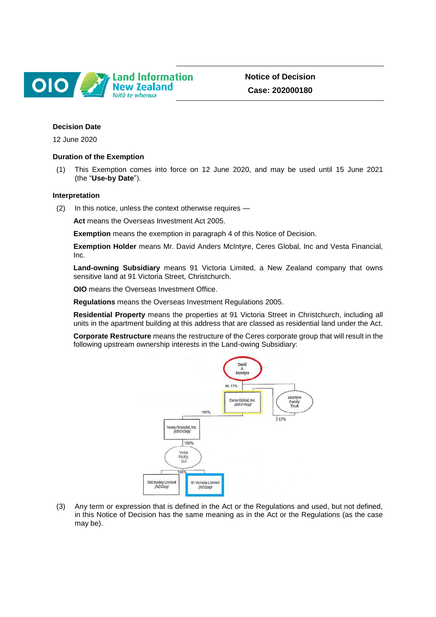

**Notice of Decision Case: 202000180**

# **Decision Date**

12 June 2020

### **Duration of the Exemption**

(1) This Exemption comes into force on 12 June 2020, and may be used until 15 June 2021 (the "**Use-by Date**").

### **Interpretation**

(2) In this notice, unless the context otherwise requires —

**Act** means the Overseas Investment Act 2005.

**Exemption** means the exemption in paragraph 4 of this Notice of Decision.

**Exemption Holder** means Mr. David Anders McIntyre, Ceres Global, Inc and Vesta Financial, Inc.

**Land-owning Subsidiary** means 91 Victoria Limited, a New Zealand company that owns sensitive land at 91 Victoria Street, Christchurch.

**OIO** means the Overseas Investment Office.

**Regulations** means the Overseas Investment Regulations 2005.

**Residential Property** means the properties at 91 Victoria Street in Christchurch, including all units in the apartment building at this address that are classed as residential land under the Act.

**Corporate Restructure** means the restructure of the Ceres corporate group that will result in the following upstream ownership interests in the Land-owing Subsidiary:



(3) Any term or expression that is defined in the Act or the Regulations and used, but not defined, in this Notice of Decision has the same meaning as in the Act or the Regulations (as the case may be).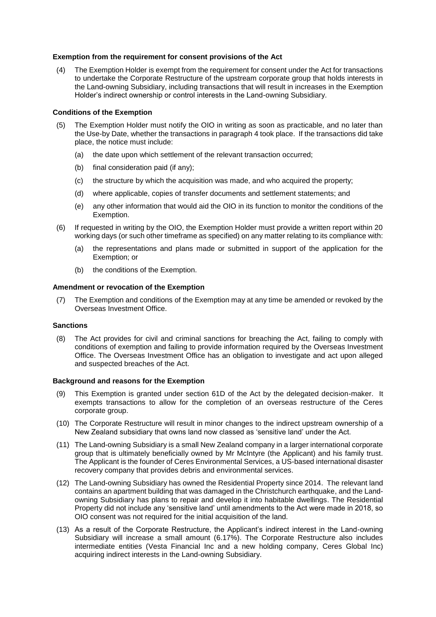# **Exemption from the requirement for consent provisions of the Act**

(4) The Exemption Holder is exempt from the requirement for consent under the Act for transactions to undertake the Corporate Restructure of the upstream corporate group that holds interests in the Land-owning Subsidiary, including transactions that will result in increases in the Exemption Holder's indirect ownership or control interests in the Land-owning Subsidiary.

### **Conditions of the Exemption**

- (5) The Exemption Holder must notify the OIO in writing as soon as practicable, and no later than the Use-by Date, whether the transactions in paragraph 4 took place. If the transactions did take place, the notice must include:
	- (a) the date upon which settlement of the relevant transaction occurred;
	- (b) final consideration paid (if any);
	- (c) the structure by which the acquisition was made, and who acquired the property;
	- (d) where applicable, copies of transfer documents and settlement statements; and
	- (e) any other information that would aid the OIO in its function to monitor the conditions of the Exemption.
- (6) If requested in writing by the OIO, the Exemption Holder must provide a written report within 20 working days (or such other timeframe as specified) on any matter relating to its compliance with:
	- (a) the representations and plans made or submitted in support of the application for the Exemption; or
	- (b) the conditions of the Exemption.

### **Amendment or revocation of the Exemption**

(7) The Exemption and conditions of the Exemption may at any time be amended or revoked by the Overseas Investment Office.

# **Sanctions**

(8) The Act provides for civil and criminal sanctions for breaching the Act, failing to comply with conditions of exemption and failing to provide information required by the Overseas Investment Office. The Overseas Investment Office has an obligation to investigate and act upon alleged and suspected breaches of the Act.

### **Background and reasons for the Exemption**

- (9) This Exemption is granted under section 61D of the Act by the delegated decision-maker. It exempts transactions to allow for the completion of an overseas restructure of the Ceres corporate group.
- (10) The Corporate Restructure will result in minor changes to the indirect upstream ownership of a New Zealand subsidiary that owns land now classed as 'sensitive land' under the Act.
- (11) The Land-owning Subsidiary is a small New Zealand company in a larger international corporate group that is ultimately beneficially owned by Mr McIntyre (the Applicant) and his family trust. The Applicant is the founder of Ceres Environmental Services, a US-based international disaster recovery company that provides debris and environmental services.
- (12) The Land-owning Subsidiary has owned the Residential Property since 2014. The relevant land contains an apartment building that was damaged in the Christchurch earthquake, and the Landowning Subsidiary has plans to repair and develop it into habitable dwellings. The Residential Property did not include any 'sensitive land' until amendments to the Act were made in 2018, so OIO consent was not required for the initial acquisition of the land.
- (13) As a result of the Corporate Restructure, the Applicant's indirect interest in the Land-owning Subsidiary will increase a small amount (6.17%). The Corporate Restructure also includes intermediate entities (Vesta Financial Inc and a new holding company, Ceres Global Inc) acquiring indirect interests in the Land-owning Subsidiary.